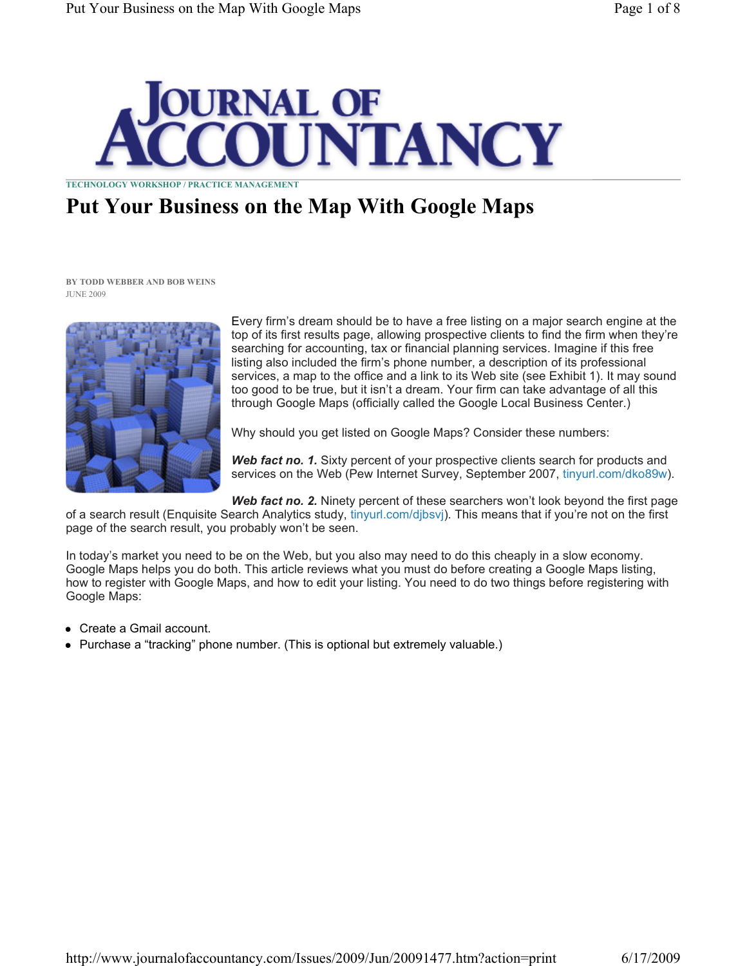

TECHNOLOGY WORKSHOP / PRACTICE MANAGEMENT

# Put Your Business on the Map With Google Maps

BY TODD WEBBER AND BOB WEINS JUNE 2009



Every firm's dream should be to have a free listing on a major search engine at the top of its first results page, allowing prospective clients to find the firm when they're searching for accounting, tax or financial planning services. Imagine if this free listing also included the firm's phone number, a description of its professional services, a map to the office and a link to its Web site (see Exhibit 1). It may sound too good to be true, but it isn't a dream. Your firm can take advantage of all this through Google Maps (officially called the Google Local Business Center.)

Why should you get listed on Google Maps? Consider these numbers:

Web fact no. 1. Sixty percent of your prospective clients search for products and services on the Web (Pew Internet Survey, September 2007, tinyurl.com/dko89w).

Web fact no. 2. Ninety percent of these searchers won't look beyond the first page of a search result (Enquisite Search Analytics study, tinyurl.com/djbsvj). This means that if you're not on the first page of the search result, you probably won't be seen.

In today's market you need to be on the Web, but you also may need to do this cheaply in a slow economy. Google Maps helps you do both. This article reviews what you must do before creating a Google Maps listing, how to register with Google Maps, and how to edit your listing. You need to do two things before registering with Google Maps:

- Create a Gmail account.
- Purchase a "tracking" phone number. (This is optional but extremely valuable.)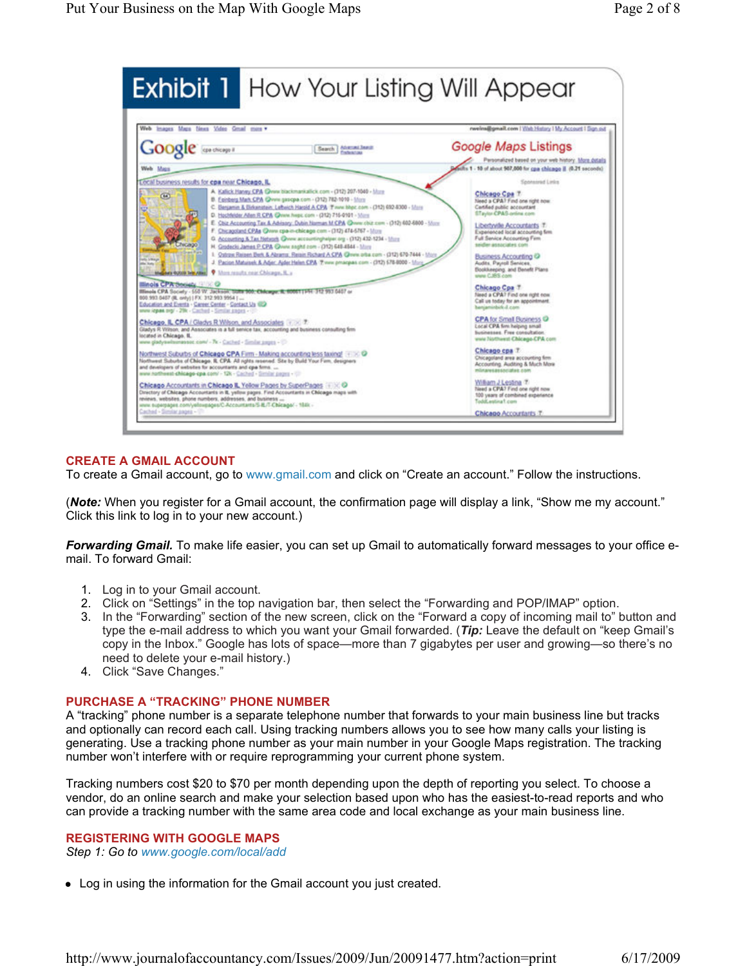

# CREATE A GMAIL ACCOUNT

To create a Gmail account, go to www.gmail.com and click on "Create an account." Follow the instructions.

(**Note:** When you register for a Gmail account, the confirmation page will display a link, "Show me my account." Click this link to log in to your new account.)

**Forwarding Gmail.** To make life easier, you can set up Gmail to automatically forward messages to your office email. To forward Gmail:

- 1. Log in to your Gmail account.
- 2. Click on "Settings" in the top navigation bar, then select the "Forwarding and POP/IMAP" option.
- 3. In the "Forwarding" section of the new screen, click on the "Forward a copy of incoming mail to" button and type the e-mail address to which you want your Gmail forwarded. (Tip: Leave the default on "keep Gmail's copy in the Inbox." Google has lots of space—more than 7 gigabytes per user and growing—so there's no need to delete your e-mail history.)
- 4. Click "Save Changes."

#### PURCHASE A "TRACKING" PHONE NUMBER

A "tracking" phone number is a separate telephone number that forwards to your main business line but tracks and optionally can record each call. Using tracking numbers allows you to see how many calls your listing is generating. Use a tracking phone number as your main number in your Google Maps registration. The tracking number won't interfere with or require reprogramming your current phone system.

Tracking numbers cost \$20 to \$70 per month depending upon the depth of reporting you select. To choose a vendor, do an online search and make your selection based upon who has the easiest-to-read reports and who can provide a tracking number with the same area code and local exchange as your main business line.

## REGISTERING WITH GOOGLE MAPS

Step 1: Go to www.google.com/local/add

Log in using the information for the Gmail account you just created.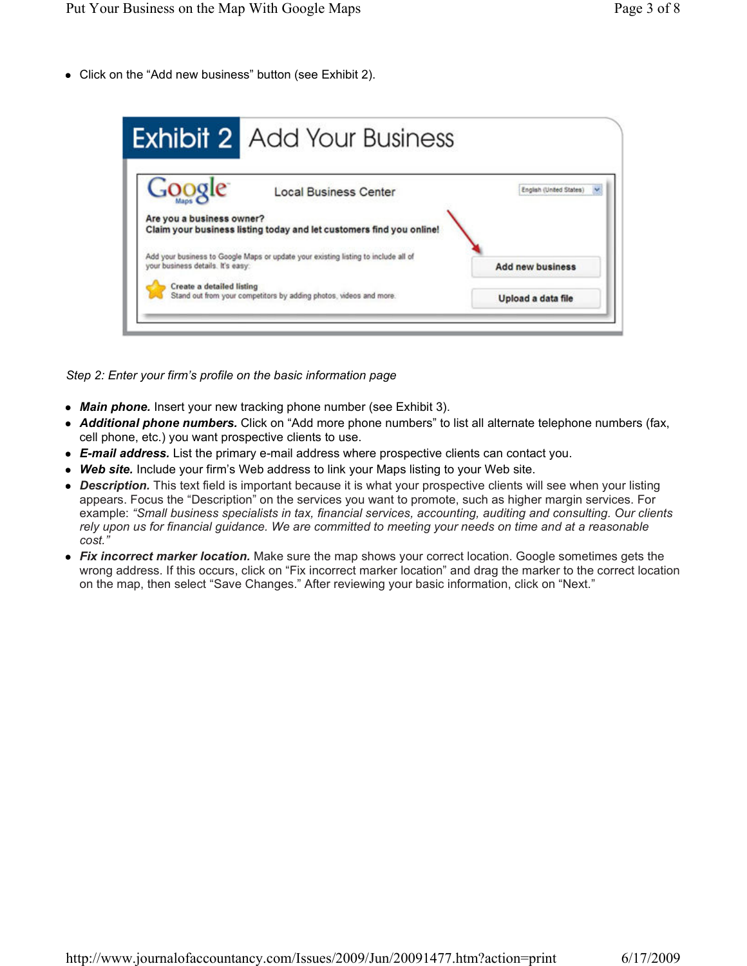Click on the "Add new business" button (see Exhibit 2).



Step 2: Enter your firm's profile on the basic information page

- Main phone. Insert your new tracking phone number (see Exhibit 3).
- Additional phone numbers. Click on "Add more phone numbers" to list all alternate telephone numbers (fax, cell phone, etc.) you want prospective clients to use.
- **E-mail address.** List the primary e-mail address where prospective clients can contact you.
- Web site. Include your firm's Web address to link your Maps listing to your Web site.
- Description. This text field is important because it is what your prospective clients will see when your listing appears. Focus the "Description" on the services you want to promote, such as higher margin services. For example: "Small business specialists in tax, financial services, accounting, auditing and consulting. Our clients rely upon us for financial guidance. We are committed to meeting your needs on time and at a reasonable cost."
- Fix incorrect marker location. Make sure the map shows your correct location. Google sometimes gets the wrong address. If this occurs, click on "Fix incorrect marker location" and drag the marker to the correct location on the map, then select "Save Changes." After reviewing your basic information, click on "Next."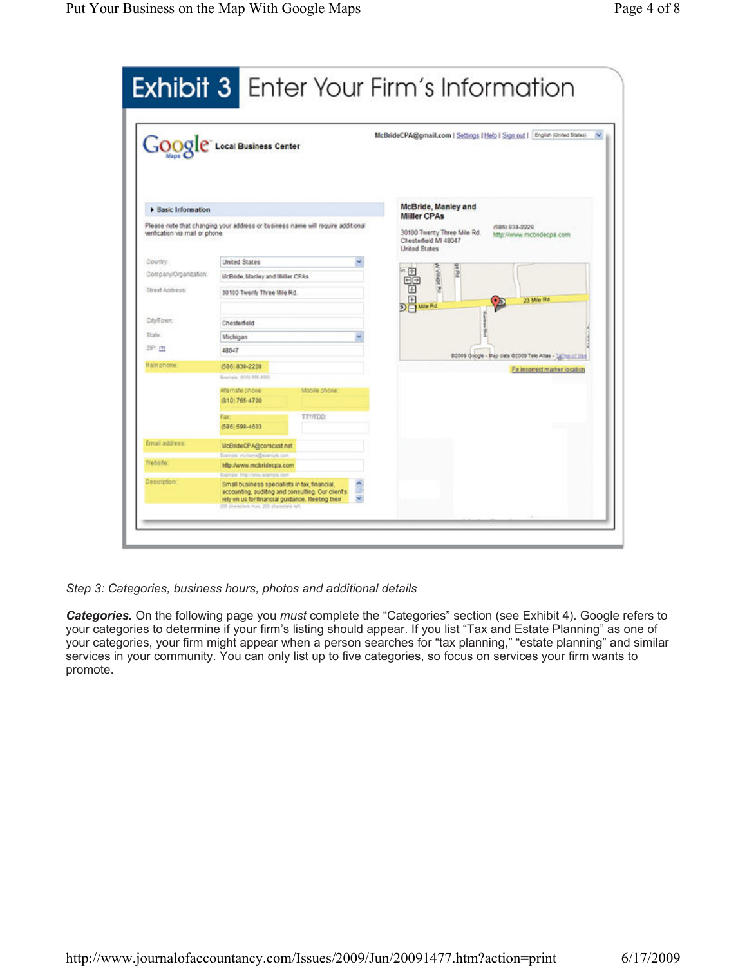|                                 | Google Local Business Center                                                                                                                                                                |               |  | McBrideCPA@gmail.com   Settings   Help   Sign out   English (United Statis)                                                                      |
|---------------------------------|---------------------------------------------------------------------------------------------------------------------------------------------------------------------------------------------|---------------|--|--------------------------------------------------------------------------------------------------------------------------------------------------|
| <b>Easic Information</b>        |                                                                                                                                                                                             |               |  | McBride, Manley and                                                                                                                              |
| verification via mail or phone. | Please note that changing your address or business name will require additional                                                                                                             |               |  | <b>Miller CPAs</b><br>(586) 838-2228<br>30100 Twenty Three Mile Rd.<br>http://www.mcbndecpa.com<br>Chesterfield MI 48047<br><b>United States</b> |
| Country.                        | <b>United States</b>                                                                                                                                                                        |               |  |                                                                                                                                                  |
| Company/Organization:           | <b>UcBride, Marley and Miller CPAs</b>                                                                                                                                                      |               |  | 匝<br>adam/<br>2                                                                                                                                  |
| Street Address:                 | 30100 Twenty Three Mile Rd.                                                                                                                                                                 |               |  | Ŧ<br>DE Me Rd<br>23 Mile Rd                                                                                                                      |
| CINTOWN:                        | Chesterfeld                                                                                                                                                                                 |               |  |                                                                                                                                                  |
| State:                          | Michigan                                                                                                                                                                                    |               |  |                                                                                                                                                  |
| ZIP: [9]                        | 48047                                                                                                                                                                                       |               |  |                                                                                                                                                  |
|                                 |                                                                                                                                                                                             |               |  | 02009 Google - Map data 02009 Tele Atlas - Talms of Use                                                                                          |
| Main phone:                     | (586) 838-2228                                                                                                                                                                              |               |  | Fix incorrect marker location                                                                                                                    |
|                                 | Environ (650) 535-4500                                                                                                                                                                      |               |  |                                                                                                                                                  |
|                                 | Abernate phone<br>(310) 765-4730                                                                                                                                                            | Mobile phone: |  |                                                                                                                                                  |
|                                 | Fax<br>(586) 598-4603                                                                                                                                                                       | TTY/TDD:      |  |                                                                                                                                                  |
| Email address:                  | McBrideCPA@comcast.net                                                                                                                                                                      |               |  |                                                                                                                                                  |
|                                 | Exemple: Hyrtamis@exemple.com                                                                                                                                                               |               |  |                                                                                                                                                  |
| Website:                        | http://www.mcbridecpa.com                                                                                                                                                                   |               |  |                                                                                                                                                  |
| Description:                    | Example, Ritg. Jewer anample bort<br>Small business specialists in fax, financial,<br>accounting, auditing and consulting. Our client's<br>rely on us for financial guidance. Heeting their |               |  |                                                                                                                                                  |

Step 3: Categories, business hours, photos and additional details

Categories. On the following page you must complete the "Categories" section (see Exhibit 4). Google refers to your categories to determine if your firm's listing should appear. If you list "Tax and Estate Planning" as one of your categories, your firm might appear when a person searches for "tax planning," "estate planning" and similar services in your community. You can only list up to five categories, so focus on services your firm wants to promote.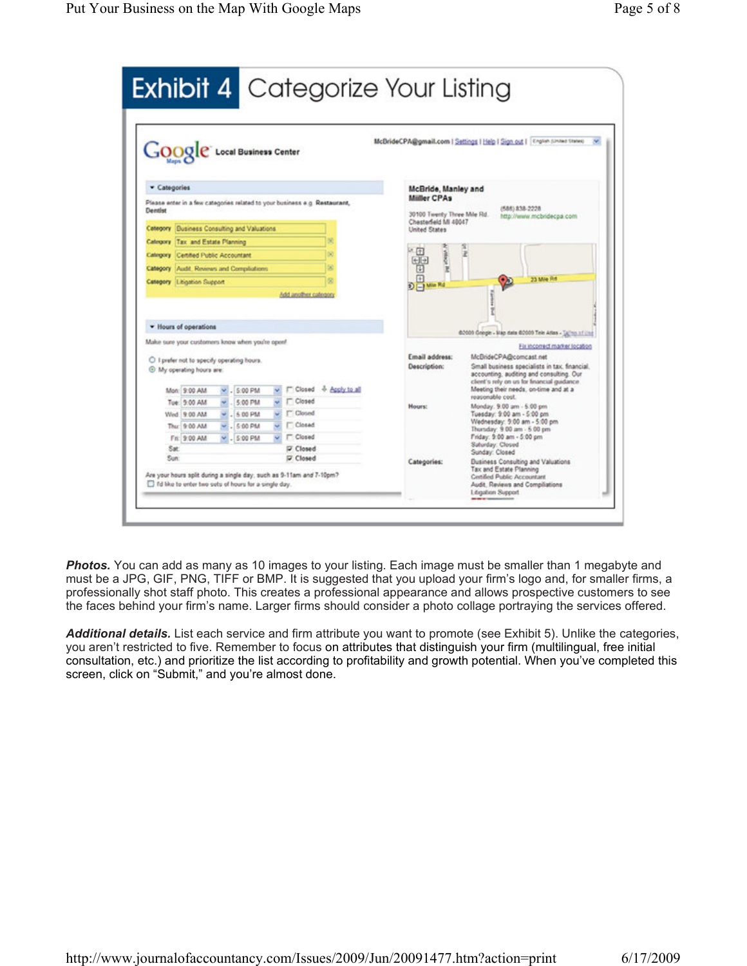

**Photos.** You can add as many as 10 images to your listing. Each image must be smaller than 1 megabyte and must be a JPG, GIF, PNG, TIFF or BMP. It is suggested that you upload your firm's logo and, for smaller firms, a professionally shot staff photo. This creates a professional appearance and allows prospective customers to see the faces behind your firm's name. Larger firms should consider a photo collage portraying the services offered.

Additional details. List each service and firm attribute you want to promote (see Exhibit 5). Unlike the categories, you aren't restricted to five. Remember to focus on attributes that distinguish your firm (multilingual, free initial consultation, etc.) and prioritize the list according to profitability and growth potential. When you've completed this screen, click on "Submit," and you're almost done.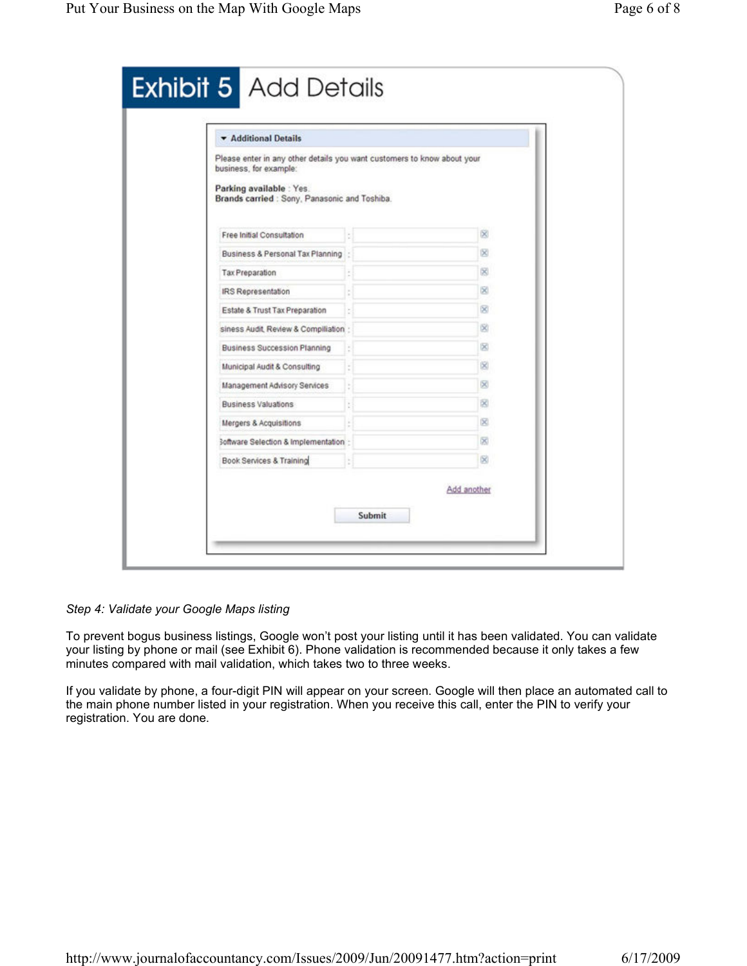| <b>v</b> Additional Details                                                                                                                                                    |             |
|--------------------------------------------------------------------------------------------------------------------------------------------------------------------------------|-------------|
| Please enter in any other details you want customers to know about your<br>business, for example:<br>Parking available : Yes.<br>Brands carried : Sony, Panasonic and Toshiba. |             |
| Free Initial Consultation                                                                                                                                                      | œ           |
| Business & Personal Tax Planning                                                                                                                                               | 図           |
| Tax Preparation                                                                                                                                                                | 闵           |
| <b>IRS Representation</b>                                                                                                                                                      | 50          |
| Estate & Trust Tax Preparation                                                                                                                                                 | ×           |
| siness Audit, Review & Compiliation                                                                                                                                            | 60          |
| <b>Business Succession Planning</b>                                                                                                                                            | 図           |
| Municipal Audit & Consulting                                                                                                                                                   | 60          |
| Management Advisory Services                                                                                                                                                   | ×           |
| Business Valuations                                                                                                                                                            | 図           |
| Mergers & Acquisitions                                                                                                                                                         | x           |
| 3oftware Selection & Implementation :                                                                                                                                          | 闵           |
| Book Services & Training                                                                                                                                                       | ß0          |
|                                                                                                                                                                                | Add another |

Step 4: Validate your Google Maps listing

To prevent bogus business listings, Google won't post your listing until it has been validated. You can validate your listing by phone or mail (see Exhibit 6). Phone validation is recommended because it only takes a few minutes compared with mail validation, which takes two to three weeks.

If you validate by phone, a four-digit PIN will appear on your screen. Google will then place an automated call to the main phone number listed in your registration. When you receive this call, enter the PIN to verify your registration. You are done.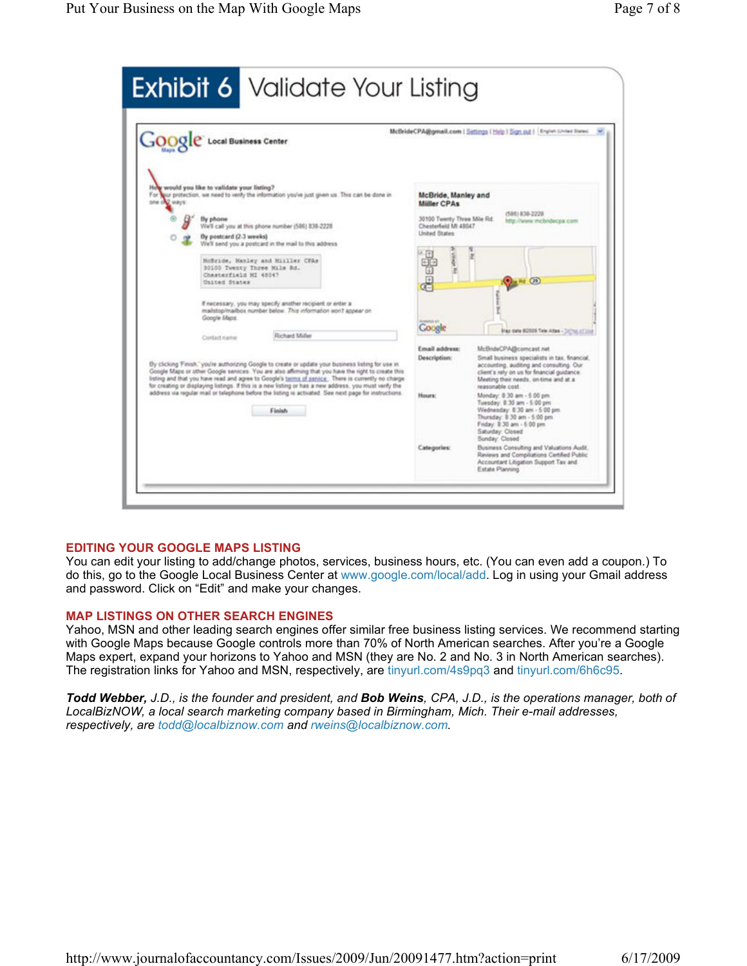| <b>GOOGIC</b> Local Business Center                                                                                                                                                                                                                                                                                                                                                                                                                                                                                                                                                    | McBrideCPA@gmail.com   Settings   Help   Sign out   Region (2nited States)                                                                                                                                                                                                                                                                                                                                                                                                                                                                                                                                                                                 |
|----------------------------------------------------------------------------------------------------------------------------------------------------------------------------------------------------------------------------------------------------------------------------------------------------------------------------------------------------------------------------------------------------------------------------------------------------------------------------------------------------------------------------------------------------------------------------------------|------------------------------------------------------------------------------------------------------------------------------------------------------------------------------------------------------------------------------------------------------------------------------------------------------------------------------------------------------------------------------------------------------------------------------------------------------------------------------------------------------------------------------------------------------------------------------------------------------------------------------------------------------------|
| How would you like to validate your listing?<br>For your protection, we need to verify the information you've just given us. This can be done in<br>one che ways:<br>By phone<br>We'll call you at this phone number (586) 838-2228<br>By postcard (2.3 weeks)<br>We'll send you a postcard in the mail to this address-<br>NoBride, Nanley and Miiller CFAs<br>30100 Twenty Three Mile Rd.<br>Chesterfield NI 48047<br>United States<br>If necessary, you may specify another recipient or enter a<br>mailstop/mailbox number below. This information won't appear on<br>Google Maps. | McBride, Manley and<br><b>Miller CPAs</b><br>(586) 838-2228<br>30100 Twenty Three Mile Rd.<br>http://www.mcbridecpa.com<br>Chesterfield MI 48047<br><b>United States</b><br>Ť<br>He (29)<br><b>Coogle</b><br><b>Stay meta 02009 Tele Atlan - Selms of line</b>                                                                                                                                                                                                                                                                                                                                                                                             |
| Richard Miller<br>Coroutname<br>By clicking Finish." you're authorizing Google to create or update your business listing for use in<br>Google Maps or other Google services. You are also affirming that you have the right to create this<br>listing and that you have read and agree to Google's terms of senior. There is currently no charge<br>for creating or displaying listings. If this is a new listing or has a new address, you must verily the<br>address via regular mail or telephone before the listing is activated. See next page for instructions.<br>Finish        | Email address:<br>McBrideCPA@comcast.net<br>Description:<br>Small business specialists in tax. financial.<br>accounting, auditing and consulting. Our<br>client's rely on us for financial guidance.<br>Meeting their needs, on-time and at a<br>teasonable cost<br>Monday: 8:30 am - 5:00 pm<br><b>Hours:</b><br>Tuesday: 8:30 am - 5:00 pm<br>Wednesday, 8:30 am - 5:00 pm.<br>Thursday: 8:30 am - 5:00 pm<br>Friday: 8:30 am - 5:00 pm<br>Saturday: Closed<br>Sunday: Closed<br><b>Categories:</b><br>Business Consulting and Valuations Audit.<br>Reviews and Compilations Certified Public<br>Accountant Libgation Support Tax and<br>Estate Planning |

# EDITING YOUR GOOGLE MAPS LISTING

You can edit your listing to add/change photos, services, business hours, etc. (You can even add a coupon.) To do this, go to the Google Local Business Center at www.google.com/local/add. Log in using your Gmail address and password. Click on "Edit" and make your changes.

### MAP LISTINGS ON OTHER SEARCH ENGINES

Yahoo, MSN and other leading search engines offer similar free business listing services. We recommend starting with Google Maps because Google controls more than 70% of North American searches. After you're a Google Maps expert, expand your horizons to Yahoo and MSN (they are No. 2 and No. 3 in North American searches). The registration links for Yahoo and MSN, respectively, are tinyurl.com/4s9pq3 and tinyurl.com/6h6c95.

Todd Webber, J.D., is the founder and president, and Bob Weins, CPA, J.D., is the operations manager, both of LocalBizNOW, a local search marketing company based in Birmingham, Mich. Their e-mail addresses, respectively, are todd@localbiznow.com and rweins@localbiznow.com.